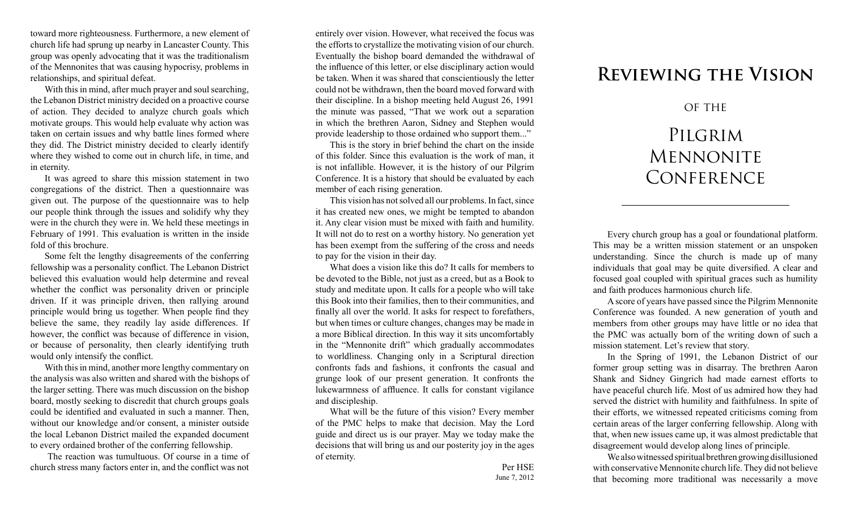toward more righteousness. Furthermore, a new element of church life had sprung up nearby in Lancaster County. This group was openly advocating that it was the traditionalism of the Mennonites that was causing hypocrisy, problems in relationships, and spiritual defeat.

With this in mind, after much prayer and soul searching, the Lebanon District ministry decided on a proactive course of action. They decided to analyze church goals which motivate groups. This would help evaluate why action was taken on certain issues and why battle lines formed where they did. The District ministry decided to clearly identify where they wished to come out in church life, in time, and in eternity.

It was agreed to share this mission statement in two congregations of the district. Then a questionnaire was given out. The purpose of the questionnaire was to help our people think through the issues and solidify why they were in the church they were in. We held these meetings in February of 1991. This evaluation is written in the inside fold of this brochure.

Some felt the lengthy disagreements of the conferring fellowship was a personality conflict. The Lebanon District believed this evaluation would help determine and reveal whether the conflict was personality driven or principle driven. If it was principle driven, then rallying around principle would bring us together. When people find they believe the same, they readily lay aside differences. If however, the conflict was because of difference in vision, or because of personality, then clearly identifying truth would only intensify the conflict.

With this in mind, another more lengthy commentary on the analysis was also written and shared with the bishops of the larger setting. There was much discussion on the bishop board, mostly seeking to discredit that church groups goals could be identified and evaluated in such a manner. Then, without our knowledge and/or consent, a minister outside the local Lebanon District mailed the expanded document to every ordained brother of the conferring fellowship.

 The reaction was tumultuous. Of course in a time of church stress many factors enter in, and the conflict was not

entirely over vision. However, what received the focus was the efforts to crystallize the motivating vision of our church. Eventually the bishop board demanded the withdrawal of the influence of this letter, or else disciplinary action would be taken. When it was shared that conscientiously the letter could not be withdrawn, then the board moved forward with their discipline. In a bishop meeting held August 26, 1991 the minute was passed, "That we work out a separation in which the brethren Aaron, Sidney and Stephen would provide leadership to those ordained who support them..."

This is the story in brief behind the chart on the inside of this folder. Since this evaluation is the work of man, it is not infallible. However, it is the history of our Pilgrim Conference. It is a history that should be evaluated by each member of each rising generation.

This vision has not solved all our problems. In fact, since it has created new ones, we might be tempted to abandon it. Any clear vision must be mixed with faith and humility. It will not do to rest on a worthy history. No generation yet has been exempt from the suffering of the cross and needs to pay for the vision in their day.

What does a vision like this do? It calls for members to be devoted to the Bible, not just as a creed, but as a Book to study and meditate upon. It calls for a people who will take this Book into their families, then to their communities, and finally all over the world. It asks for respect to forefathers, but when times or culture changes, changes may be made in a more Biblical direction. In this way it sits uncomfortably in the "Mennonite drift" which gradually accommodates to worldliness. Changing only in a Scriptural direction confronts fads and fashions, it confronts the casual and grunge look of our present generation. It confronts the lukewarmness of affluence. It calls for constant vigilance and discipleship.

What will be the future of this vision? Every member of the PMC helps to make that decision. May the Lord guide and direct us is our prayer. May we today make the decisions that will bring us and our posterity joy in the ages of eternity.

## **Reviewing the Vision**

## OF THE

## PILGRIM **MENNONITE CONFERENCE**

Every church group has a goal or foundational platform. This may be a written mission statement or an unspoken understanding. Since the church is made up of many individuals that goal may be quite diversified. A clear and focused goal coupled with spiritual graces such as humility and faith produces harmonious church life.

A score of years have passed since the Pilgrim Mennonite Conference was founded. A new generation of youth and members from other groups may have little or no idea that the PMC was actually born of the writing down of such a mission statement. Let's review that story.

In the Spring of 1991, the Lebanon District of our former group setting was in disarray. The brethren Aaron Shank and Sidney Gingrich had made earnest efforts to have peaceful church life. Most of us admired how they had served the district with humility and faithfulness. In spite of their efforts, we witnessed repeated criticisms coming from certain areas of the larger conferring fellowship. Along with that, when new issues came up, it was almost predictable that disagreement would develop along lines of principle.

We also witnessed spiritual brethren growing disillusioned with conservative Mennonite church life. They did not believe that becoming more traditional was necessarily a move